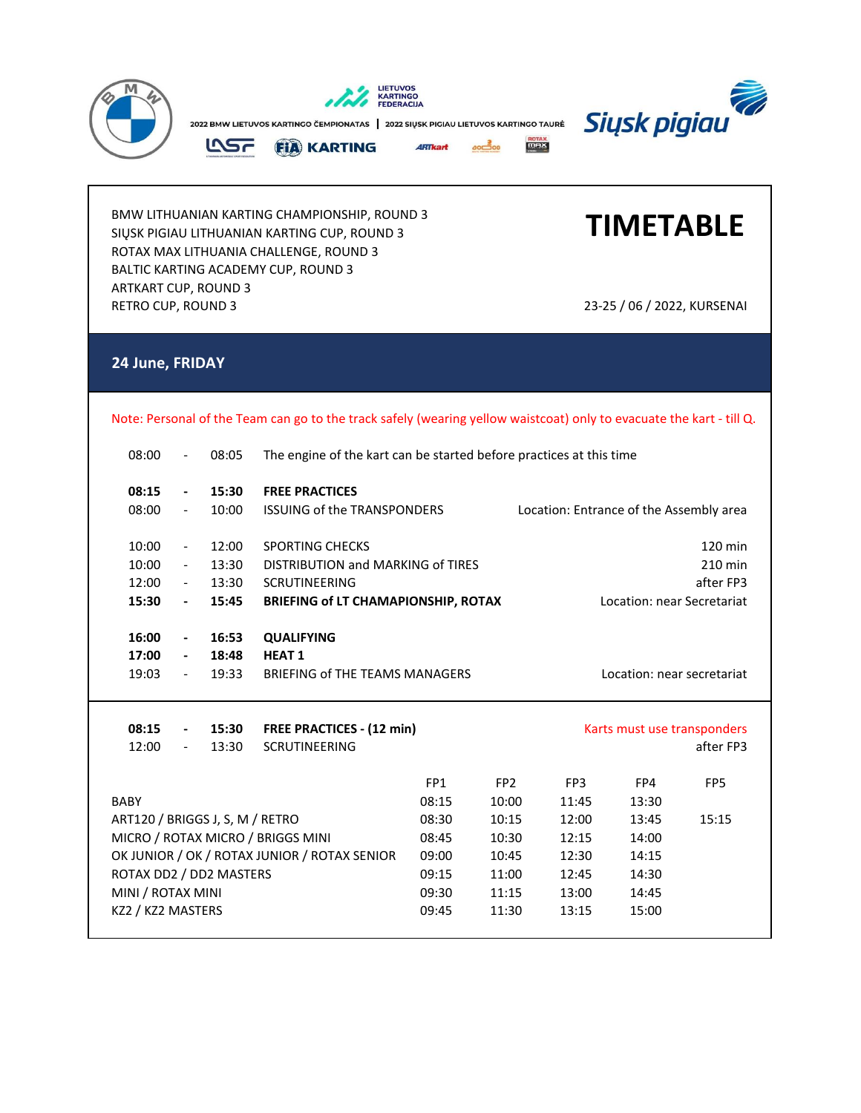

BMW LITHUANIAN KARTING CHAMPIONSHIP, ROUND 3 SIŲSK PIGIAU LITHUANIAN KARTING CUP, ROUND 3 ROTAX MAX LITHUANIA CHALLENGE, ROUND 3 BALTIC KARTING ACADEMY CUP, ROUND 3 ARTKART CUP, ROUND 3 RETRO CUP, ROUND 3 23-25 / 06 / 2022, KURSENAI

## **TIMETABLE**

## **24 June, FRIDAY**

Note: Personal of the Team can go to the track safely (wearing yellow waistcoat) only to evacuate the kart - till Q.

| 08:00                           | $\overline{\phantom{a}}$ | 08:05 | The engine of the kart can be started before practices at this time |                                         |                            |                             |       |                 |  |
|---------------------------------|--------------------------|-------|---------------------------------------------------------------------|-----------------------------------------|----------------------------|-----------------------------|-------|-----------------|--|
| 08:15                           | $\overline{\phantom{a}}$ | 15:30 | <b>FREE PRACTICES</b>                                               |                                         |                            |                             |       |                 |  |
| 08:00                           | $\blacksquare$           | 10:00 | <b>ISSUING of the TRANSPONDERS</b>                                  | Location: Entrance of the Assembly area |                            |                             |       |                 |  |
| 10:00                           | $\overline{\phantom{a}}$ | 12:00 | <b>SPORTING CHECKS</b>                                              |                                         |                            |                             |       | 120 min         |  |
| 10:00                           | $ \,$                    | 13:30 | DISTRIBUTION and MARKING of TIRES                                   |                                         |                            |                             |       | 210 min         |  |
| 12:00                           | $\sim$                   | 13:30 | <b>SCRUTINEERING</b>                                                |                                         |                            |                             |       | after FP3       |  |
| 15:30                           | $\blacksquare$           | 15:45 | <b>BRIEFING of LT CHAMAPIONSHIP, ROTAX</b>                          |                                         | Location: near Secretariat |                             |       |                 |  |
| 16:00                           | $\blacksquare$           | 16:53 | <b>QUALIFYING</b>                                                   |                                         |                            |                             |       |                 |  |
| 17:00                           | $\blacksquare$           | 18:48 | <b>HEAT1</b>                                                        |                                         |                            |                             |       |                 |  |
| 19:03                           | $\blacksquare$           | 19:33 | BRIEFING of THE TEAMS MANAGERS<br>Location: near secretariat        |                                         |                            |                             |       |                 |  |
|                                 |                          |       |                                                                     |                                         |                            |                             |       |                 |  |
| 08:15                           | $\blacksquare$           | 15:30 | <b>FREE PRACTICES - (12 min)</b>                                    |                                         |                            | Karts must use transponders |       |                 |  |
| 12:00                           | $\blacksquare$           | 13:30 | <b>SCRUTINEERING</b>                                                |                                         |                            |                             |       | after FP3       |  |
|                                 |                          |       |                                                                     |                                         |                            |                             |       |                 |  |
|                                 |                          |       |                                                                     | FP <sub>1</sub>                         | FP <sub>2</sub>            | FP <sub>3</sub>             | FP4   | FP <sub>5</sub> |  |
| <b>BABY</b>                     |                          |       |                                                                     | 08:15                                   | 10:00                      | 11:45                       | 13:30 |                 |  |
| ART120 / BRIGGS J, S, M / RETRO |                          |       |                                                                     | 08:30                                   | 10:15                      | 12:00                       | 13:45 | 15:15           |  |
|                                 |                          |       | MICRO / ROTAX MICRO / BRIGGS MINI                                   | 08:45                                   | 10:30                      | 12:15                       | 14:00 |                 |  |
|                                 |                          |       | OK JUNIOR / OK / ROTAX JUNIOR / ROTAX SENIOR                        | 09:00                                   | 10:45                      | 12:30                       | 14:15 |                 |  |
| ROTAX DD2 / DD2 MASTERS         |                          |       |                                                                     | 09:15                                   | 11:00                      | 12:45                       | 14:30 |                 |  |
| MINI / ROTAX MINI               |                          |       |                                                                     | 09:30                                   | 11:15                      | 13:00                       | 14:45 |                 |  |